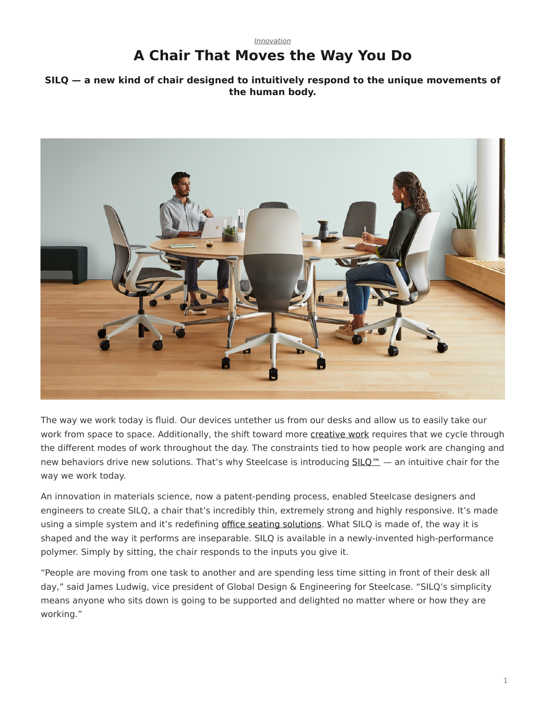# *[Innovation](https://www.steelcase.com/research/topics/innovation/)* **A Chair That Moves the Way You Do**

### <span id="page-0-0"></span>**SILQ — a new kind of chair designed to intuitively respond to the unique movements of the human body.**



The way we work today is fluid. Our devices untether us from our desks and allow us to easily take our work from space to space. Additionally, the shift toward more [creative work](https://www.steelcase.com/research/articles/topics/creativity/creative-shift/) requires that we cycle through the different modes of work throughout the day. The constraints tied to how people work are changing and new behaviors drive new solutions. That's why Steelcase is introducing [SILQ™](https://www.steelcase.com/products/office-chairs/silq/) — an intuitive chair for the way we work today.

An innovation in materials science, now a patent-pending process, enabled Steelcase designers and engineers to create SILQ, a chair that's incredibly thin, extremely strong and highly responsive. It's made using a simple system and it's redefining [office seating solutions.](https://www.steelcase.com/products/office-chairs/) What SILQ is made of, the way it is shaped and the way it performs are inseparable. SILQ is available in a newly-invented high-performance polymer. Simply by sitting, the chair responds to the inputs you give it.

"People are moving from one task to another and are spending less time sitting in front of their desk all day," said James Ludwig, vice president of Global Design & Engineering for Steelcase. "SILQ's simplicity means anyone who sits down is going to be supported and delighted no matter where or how they are working."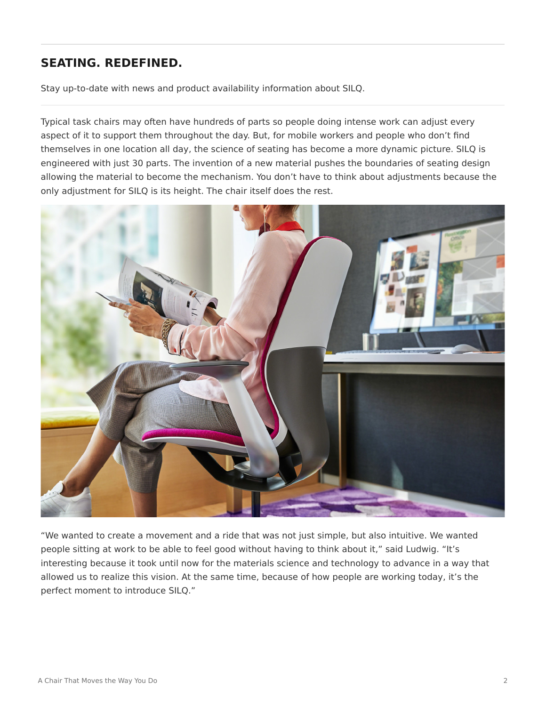# **SEATING. REDEFINED.**

Stay up-to-date with news and product availability information about SILQ.

Typical task chairs may often have hundreds of parts so people doing intense work can adjust every aspect of it to support them throughout the day. But, for mobile workers and people who don't find themselves in one location all day, the science of seating has become a more dynamic picture. SILQ is engineered with just 30 parts. The invention of a new material pushes the boundaries of seating design allowing the material to become the mechanism. You don't have to think about adjustments because the only adjustment for SILQ is its height. The chair itself does the rest.



"We wanted to create a movement and a ride that was not just simple, but also intuitive. We wanted people sitting at work to be able to feel good without having to think about it," said Ludwig. "It's interesting because it took until now for the materials science and technology to advance in a way that allowed us to realize this vision. At the same time, because of how people are working today, it's the perfect moment to introduce SILQ."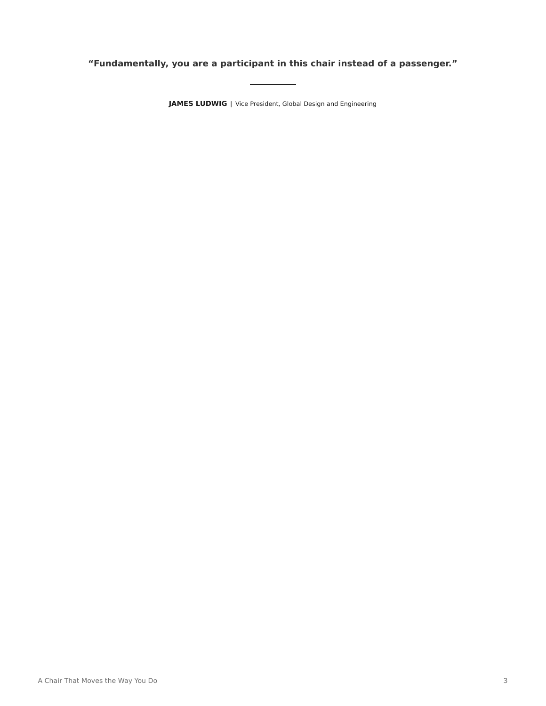**"Fundamentally, you are a participant in this chair instead of a passenger."**

**JAMES LUDWIG** | Vice President, Global Design and Engineering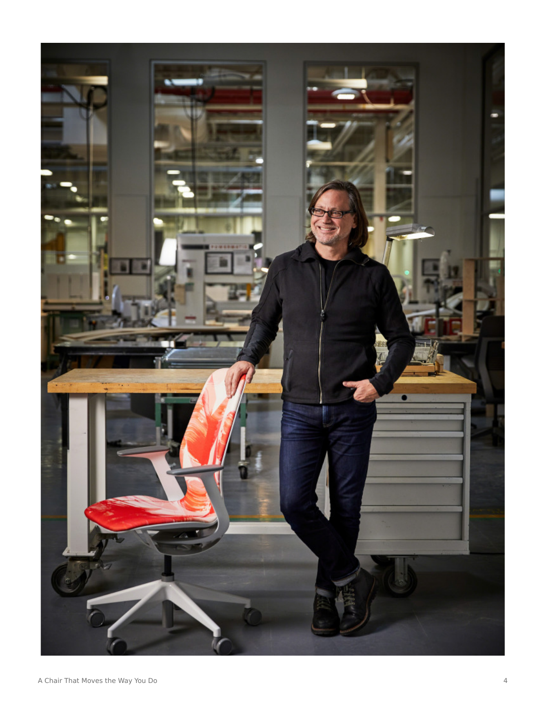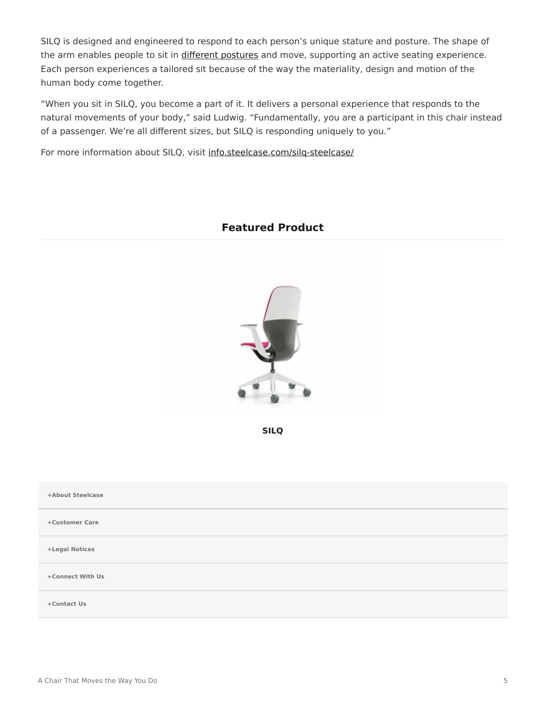SILQ is designed and engineered to respond to each person's unique stature and posture. The shape of the arm enables people to sit in [different postures](https://www.steelcase.com/research/articles/topics/wellbeing/posture-support-changing-workplace/) and move, supporting an active seating experience. Each person experiences a tailored sit because of the way the materiality, design and motion of the human body come together.

"When you sit in SILQ, you become a part of it. It delivers a personal experience that responds to the natural movements of your body," said Ludwig. "Fundamentally, you are a participant in this chair instead of a passenger. We're all different sizes, but SILQ is responding uniquely to you."

For more information about SILQ, visit [info.steelcase.com/silq-steelcase/](https://info.steelcase.com/silq-steelcase?utm_source=dotcom&utm_medium=blog-post&utm_campaign=silq&utm_content=silq-lander)

# **[Connect With Us](https://www.steelcase.com/find-us/social-media/) [+](https://www.steelcase.com/find-us/social-media/) [Contact Us](https://www.steelcase.com/about/connect/contact-us/) [+](https://www.steelcase.com/about/connect/contact-us/) [+About Steelcase](https://www.steelcase.com/discover/steelcase/our-company/) [+Customer Care](#page-0-0) [+Legal Notices](#page-0-0) [SILQ](https://www.steelcase.com/products/conference-chairs/silq/)**

## **Featured Product**